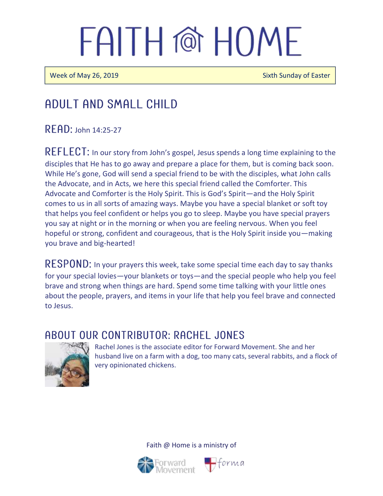Week of May 26, 2019 Sixth Sunday of Easter

### Adult and Small Child

 $R$   $F$  $R$  $D$ : John 14:25-27

REFLECT: In our story from John's gospel, Jesus spends a long time explaining to the disciples that He has to go away and prepare a place for them, but is coming back soon. While He's gone, God will send a special friend to be with the disciples, what John calls the Advocate, and in Acts, we here this special friend called the Comforter. This Advocate and Comforter is the Holy Spirit. This is God's Spirit—and the Holy Spirit comes to us in all sorts of amazing ways. Maybe you have a special blanket or soft toy that helps you feel confident or helps you go to sleep. Maybe you have special prayers you say at night or in the morning or when you are feeling nervous. When you feel hopeful or strong, confident and courageous, that is the Holy Spirit inside you—making you brave and big-hearted!

RESPOND: In your prayers this week, take some special time each day to say thanks for your special lovies—your blankets or toys—and the special people who help you feel brave and strong when things are hard. Spend some time talking with your little ones about the people, prayers, and items in your life that help you feel brave and connected to Jesus.

#### A BOUT OUR CONTRIBUTOR: RACHEL JONES



Rachel Jones is the associate editor for Forward Movement. She and her husband live on a farm with a dog, too many cats, several rabbits, and a flock of very opinionated chickens.



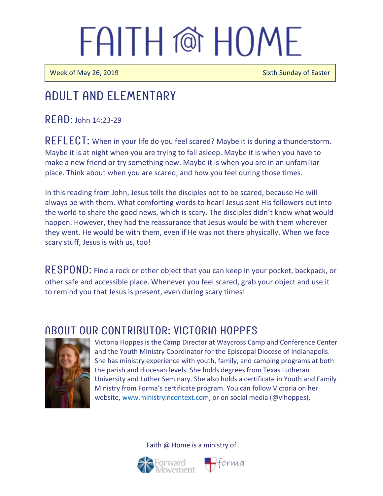Ī

 $\overline{a}$ 

Week of May 26, 2019 Sixth Sunday of Easter

## Adult and elementary

READ: John 14:23-29

REFLECT: When in your life do you feel scared? Maybe it is during a thunderstorm. Maybe it is at night when you are trying to fall asleep. Maybe it is when you have to make a new friend or try something new. Maybe it is when you are in an unfamiliar place. Think about when you are scared, and how you feel during those times.

In this reading from John, Jesus tells the disciples not to be scared, because He will always be with them. What comforting words to hear! Jesus sent His followers out into the world to share the good news, which is scary. The disciples didn't know what would happen. However, they had the reassurance that Jesus would be with them wherever they went. He would be with them, even if He was not there physically. When we face scary stuff, Jesus is with us, too!

RESPOND: Find a rock or other object that you can keep in your pocket, backpack, or other safe and accessible place. Whenever you feel scared, grab your object and use it to remind you that Jesus is present, even during scary times!

#### ABOUT OUR CONTRIBUTOR: VICTORIA HOPPES



Victoria Hoppes is the Camp Director at Waycross Camp and Conference Center and the Youth Ministry Coordinator for the Episcopal Diocese of Indianapolis. She has ministry experience with youth, family, and camping programs at both the parish and diocesan levels. She holds degrees from Texas Lutheran University and Luther Seminary. She also holds a certificate in Youth and Family Ministry from Forma's certificate program. You can follow Victoria on her website, [www.ministryincontext.com,](www.ministryincontext.com) or on social media (@vlhoppes).



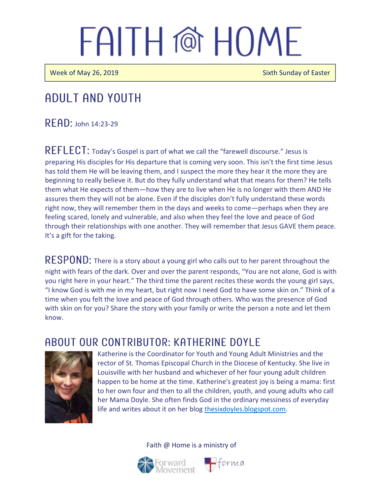Week of May 26, 2019 Sixth Sunday of Easter

### Adult and youth

 $R$   $F$  $R$  $D$ : John 14:23-29

REFLECT: Today's Gospel is part of what we call the "farewell discourse." Jesus is preparing His disciples for His departure that is coming very soon. This isn't the first time Jesus has told them He will be leaving them, and I suspect the more they hear it the more they are beginning to really believe it. But do they fully understand what that means for them? He tells them what He expects of them—how they are to live when He is no longer with them AND He assures them they will not be alone. Even if the disciples don't fully understand these words right now, they will remember them in the days and weeks to come—perhaps when they are feeling scared, lonely and vulnerable, and also when they feel the love and peace of God through their relationships with one another. They will remember that Jesus GAVE them peace. It's a gift for the taking.

RESPOND: There is a story about a young girl who calls out to her parent throughout the night with fears of the dark. Over and over the parent responds, "You are not alone, God is with you right here in your heart." The third time the parent recites these words the young girl says, "I know God is with me in my heart, but right now I need God to have some skin on." Think of a time when you felt the love and peace of God through others. Who was the presence of God with skin on for you? Share the story with your family or write the person a note and let them know.

#### ABOUT OUR CONTRIBUTOR: KATHERINE DOYLE



Katherine is the Coordinator for Youth and Young Adult Ministries and the rector of St. Thomas Episcopal Church in the Diocese of Kentucky. She live in Louisville with her husband and whichever of her four young adult children happen to be home at the time. Katherine's greatest joy is being a mama: first to her own four and then to all the children, youth, and young adults who call her Mama Doyle. She often finds God in the ordinary messiness of everyday life and writes about it on her blog [thesixdoyles.blogspot.com.](http://thesixdoyles.blogspot.com/)